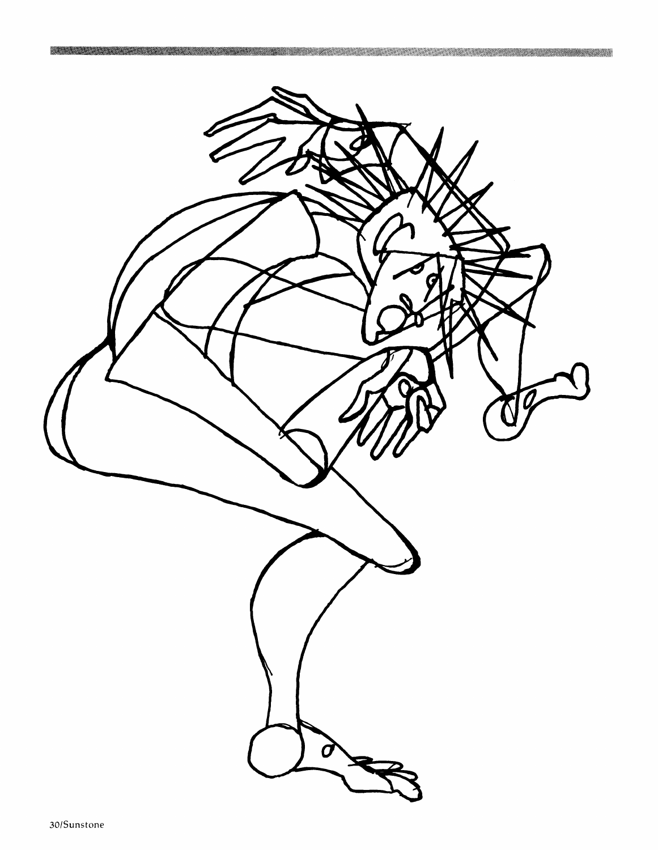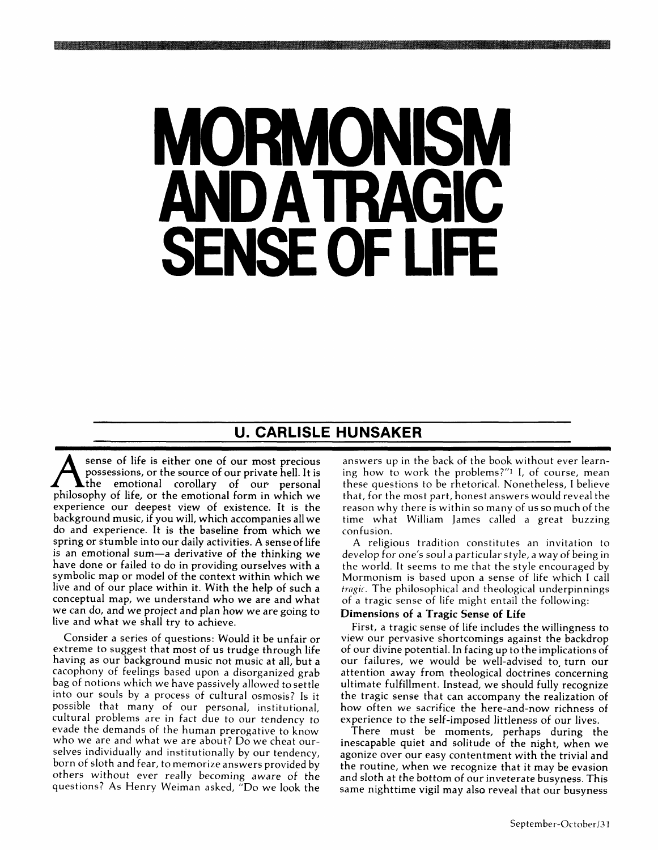# **MORMO AND ATRAGIC SENSE OF LIFE**

### **U. CARLISLE HUNSAKER**

**A** sense of life is either one of our most precious possessions, or the source of our private hell. It is<br>the emotional corollary of our personal emotional corollary of our personal philosophy of life, or the emotional form in which we experience our deepest view of existence. It is the background music, if you will, which accompanies all we do and experience. It is the baseline from which we spring or stumble into our daily activities. A sense of life is an emotional sum—a derivative of the thinking we have done or failed to do in providing ourselves with a symbolic map or model of the context within which we live and of our place within it. With the help of such a conceptual map, we understand who we are and what we can do, and we project and plan how we are going to live and what we shall try to achieve.

Consider a series of questions: Would it be unfair or extreme to suggest that most of us trudge through life having as our background music not music at all, but a cacophony of feelings based upon a disorganized grab bag of notions which we have passively allowed to settle into our souls by a process of cultural osmosis? Is it possible that many of our personal, institutional, cultural problems are in fact due to our tendency to evade the demands of the human prerogative to know who we are and what we are about? Do we cheat ourselves individually and institutionally by our tendency, born of sloth and fear, to memorize answers provided by others without ever really becoming aware of the questions? As Henry Weiman asked, "Do we look the

answers up in the back of the book without ever learning how to work the problems?"1 l, of course, mean these questions to be rhetorical. Nonetheless, I believe that, for the most part, honest answers would reveal the reason why there is within so many of us so much of the time what William James called a great buzzing confusion.

A religious tradition constitutes an invitation to develop for one's soul a particular style, a way of being in the world. It seems to me that the style encouraged by Mormonism is based upon a sense of life which I call *tragic.* The philosophical and theological underpinnings of a tragic sense of life might entail the following:

#### **Dimensions of a Tragic Sense of Life**

First, a tragic sense of life includes the willingness to view our pervasive shortcomings against the backdrop of our divine potential. In facing up to the implications of our failures, we would be well-advised to turn our attention away from theological doctrines concerning ultimate fulfillment. Instead, we should fully recognize the tragic sense that can accompany the realization of how often we sacrifice the here-and-now richness of experience to the self-imposed littleness of our lives.

There must be moments, perhaps during the inescapable quiet and solitude of the night, when we agonize over our easy contentment with the trivial and the routine, when we recognize that it may be evasion and sloth at the bottom of our inveterate busyness. This same nighttime vigil may also reveal that our busyness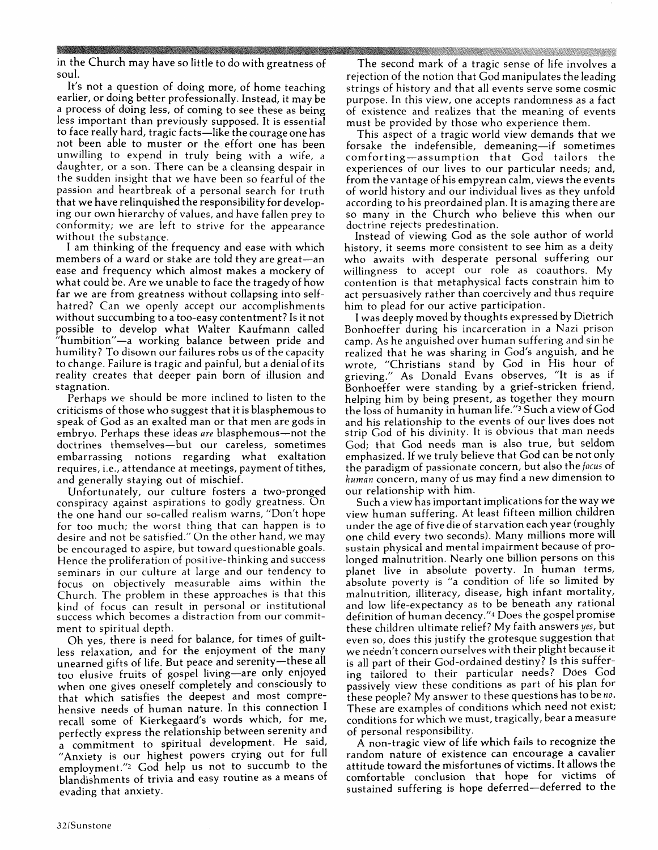in the Church may have so little to do with greatness of soul.

It's not a question of doing more, of home teaching earlier, or doing better professionally. Instead, it may be a process of doing less, of coming to see these as being less important than previously supposed. It is essential to face really hard, tragic facts—like the courage one has not been able to muster or the effort one has been unwilling to expend in truly being with a wife, a daughter, or a son. There can be a cleansing despair in the sudden insight that we have been so fearful of the passion and heartbreak of a personal search for truth that we have relinquished the responsibility for developing our own hierarchy of values, and have fallen prey to conformity; we are left to strive for the appearance without the substance.

I am thinking of the frequency and ease with which members of a ward or stake are told they are great-an ease and frequency which almost makes a mockery of what could be. Are we unable to face the tragedy of how far we are from greatness without collapsing into selfhatred? Can we openly accept our accomplishments without succumbing to a too-easy contentment? Is it not possible to develop what Walter Kaufmann called "humbition"-a working balance between pride and humility? To disown our failures robs us of the capacity to change. Failure is tragic and painful, but a denial of its reality creates that deeper pain born of illusion and stagnation.

Perhaps we should be more inclined to listen to the criticisms of those who suggest that it is blasphemous to speak of God as an exalted man or that men are gods in embryo. Perhaps these ideas *are* blasphemous—not the doctrines themselves—but our careless, sometimes embarrassing notions regarding what exaltation requires, i.e., attendance at meetings, payment of tithes, and generally staying out of mischief.

Unfortunately, our culture fosters a two-pronged conspiracy against aspirations to godly greatness. On the one hand our so-called realism warns, "Don't hope for too much; the worst thing that can happen is to desire and not be satisfied.'" On the other hand, we may be encouraged to aspire, but toward questionable goals. Hence the proliferation of positive-thinking and success seminars in our culture at large and our tendency to focus on objectively measurable aims within the Church. The problem in these approaches is that this kind of focus can result in personal or institutional success which becomes a distraction from our commitment to spiritual depth.

Oh yes, there is need for balance, for times of guiltless relaxation, and for the enjoyment of the many unearned gifts of life. But peace and serenity—these all too elusive fruits of gospel living-are only enjoyed when one gives oneself completely and consciously to that which satisfies the deepest and most comprehensive needs of human nature. In this connection I recall some of Kierkegaard's words which, for me, perfectly express the relationship between serenity and a commitment to spiritual development. He said, "Anxiety is our highest powers crying out for full employment.''2 God help us not to succumb to the blandishments of trivia and easy routine as a means of evading that anxiety.

The second mark of a tragic sense of life involves a rejection of the notion that God manipulates the leading strings of history and that all events serve some cosmic purpose. In this view, one accepts randomness as a fact of existence and realizes that the meaning of events must be provided by those who experience them.

This aspect of a tragic world view demands that we forsake the indefensible, demeaning—if sometimes comforting--assumption that God tailors the experiences of our lives to our particular needs; and, from the vantage of his empyrean calm, views the events of world history and our individual lives as they unfold according to his preordained plan. It is amazing there are so many in the Church who believe this when our doctrine rejects predestination.

Instead of viewing God as the sole author of world history, it seems more consistent to see him as a deity who awaits with desperate personal suffering our willingness to accept our role as coauthors. My contention is that metaphysical facts constrain him to act persuasively rather than coercively and thus require him to plead for our active participation.

I was deeply moved by thoughts expressed by Dietrich Bonhoeffer during his incarceration in a Nazi prison camp. As he anguished over human suffering and sin he realized that he was sharing in God's anguish, and he wrote, "Christians stand by God in His hour of grieving." As Donald Evans observes, "It is as if Bonhoeffer were standing by a grief-stricken friend., helping him by being present, as together they mourn the loss of humanity in human life.''3 Such a view of God and his relationship to the events of our lives does not strip God of his divinity. It is obvious that man needs God; that God needs man is also true, but seldom emphasized. If we truly believe that God can be not only the paradigm of passionate concern, but also the *focus* of *human* concern, many of us may find a new dimension to our relationship with him.

Such a view has important implications for the way we view human suffering. At least fifteen million children under the age of five die of starvation each year (roughly one child every two seconds). Many millions more will sustain physical and mental impairment because of prolonged malnutrition. Nearly one billion persons on this planet live in absolute poverty. In human terms, absolute poverty is "a condition of life so limited by malnutrition, illiteracy, disease, high infant mortality, and low life-expectancy as to be beneath any rational definition of human decency.''4 Does the gospel promise these children ultimate relief? My faith answers *yes,* but even so, does this justify the grotesque suggestion that we needn't concern ourselves with their plight because it is all part of their God-ordained destiny? Is this suffering tailored to their particular needs? Does God passively view these conditions as part of his plan for these people? My answer to these questions has to be *no.* These are examples of conditions which need not exist; conditions for which we must, tragically, bear a measure of personal responsibility.

A non-tragic view of life which fails to recognize the random nature of existence can encourage a cavalier attitude toward the misfortunes of victims. It allows the comfortable conclusion that hope for victims of sustained suffering is hope deferred-deferred to the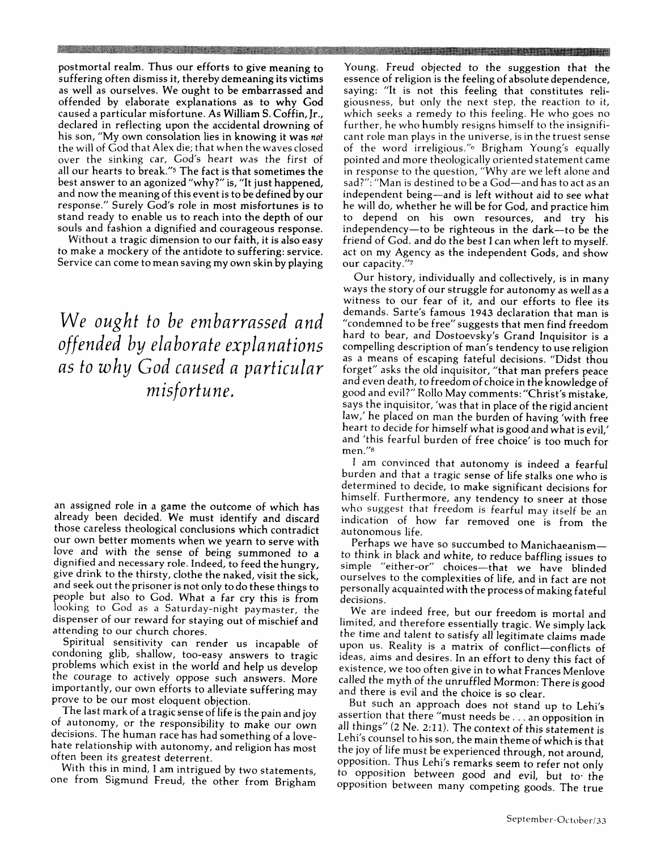postmortal realm. Thus our efforts to give meaning to suffering often dismiss it, thereby demeaning its victims as well as ourselves. We ought to be embarrassed and offended by elaborate explanations as to why God caused a particular misfortune. As William S. Coffin, Jr., declared in reflecting upon the accidental drowning of his son, "My own consolation lies in knowing it was *not* the will of God that Alex die; that when the waves closed over the sinking car, God's heart was the first of all our hearts to break."<sup>5</sup> The fact is that sometimes the best answer to an agonized "why?" is, "It just happened, and now the meaning of this event is to be defined by our response." Surely God's role in most misfortunes is to stand ready to enable us to reach into the depth of our souls and fashion a dignified and courageous response.

Without a tragic dimension to our faith, it is also easy to make a mockery of the antidote to suffering: service. Service can come to mean saving my own skin by playing

*We ought to be embarrassed and offended by elaborate explanations as to why God caused a particular misfortune.*

an assigned role in a game the outcome of which has already been decided. We must identify and discard those careless theological conclusions which contradict our own better moments when we yearn to serve with love and with the sense of being summoned to a dignified and necessary role. Indeed, to feed the hungry, give drink to the thirsty, clothe the naked, visit the sick, and seek out the prisoner is not only to do these things to people but also to God. What a far cry this is from looking to God as a Saturday-night paymaster, the dispenser of our reward for staying out of mischief and attending to our church chores.

Spiritual sensitivity can render us incapable of condoning glib, shallow, too-easy answers to tragic problems which exist in the world and help us develop the courage to actively oppose such answers. More importantly, our own efforts to alleviate suffering may prove to be our most eloquent objection.

The last mark of a tragic sense of life is the pain and joy of autonomy, or the responsibility to make our own decisions. The human race has had something of a lovehate relationship with autonomy, and religion has most often been its greatest deterrent.

With this in mind, I am intrigued by two statements, one from Sigmund Freud, the other from Brigham

Young. Freud objected to the suggestion that the essence of religion is the feeling of absolute dependence, saying: "It is not this feeling that constitutes religiousness, but only the next step, the reaction to it, which seeks a remedy to this feeling. He who goes no further, he who humbly resigns himself to the insignificant role man plays in the universe, is in the truest sense of the word irreligious."° Brigham Young's equally pointed and more theologically oriented statement came in response to the question, "Why are we left alone and sad?": "Man is destined to be a God--and has to act as an independent being-and is left without aid to see what he will do, whether he will be for God, and practice him to depend on his own resources, and try his independency-to be righteous in the dark-to be the friend of God. and do the best I can when left to myself. act on my Agency as the independent Gods, and show our capacity.''7

LAN SALE EN ENGELE PRODUCTION PLACEMENT

Our history, individually and collectively, is in many ways the story of our struggle for autonomy as well as a witness to our fear of it, and our efforts to flee its demands. Sarte's famous 1943 declaration that man is "condemned to be free" suggests that men find freedom hard to bear, and Dostoevsky's Grand Inquisitor is a compelling description of man's tendency to use religion as a means of escaping fateful decisions. "Didst thou forget" asks the old inquisitor, "that man prefers peace and even death, to freedom of choice in the knowledge of good and evil?" Rollo May comments: "Christ's mistake, says the inquisitor, 'was that in place of the rigid ancient law,' he placed on man the burden of having 'with free heart to decide for himself what is good and what is evil,' and 'this fearful burden of free choice' is too much for men."s

I am convinced that autonomy is indeed a fearful burden and that a tragic sense of life stalks one who is determined to decide, to make significant decisions for himself. Furthermore, any tendency to sneer at those who suggest that freedom is fearful may itself be an indication of how far removed one is from the autonomous life.

Perhaps we have so succumbed to Manichaeanismto think in black and white, to reduce baffling issues to simple "either-or" choices--that we have blinded ourselves to the complexities of life, and in fact are not personally acquainted with the process of making fateful decisions.

We are indeed free, but our freedom is mortal and limited, and therefore essentially tragic. We simply lack the time and talent to satisfy all legitimate claims made upon us. Reality is a matrix of conflict-conflicts of ideas, aims and desires. In an effort to deny this fact of existence, we too often give in to what Frances Menlove called the myth of the unruffled Mormon: There is good and there is evil and the choice is so clear.

But such an approach does not stand up to Lehi's assertion that there "must needs be... an opposition in all things" (2 Ne. 2:11). The context of this statement is Lehi's counsel to his son, the main theme of which is that the joy of life must be experienced through, not around, opposition. Thus Lehi's remarks seem to refer not only to opposition between good and evil, but to- the opposition between many competing goods. The true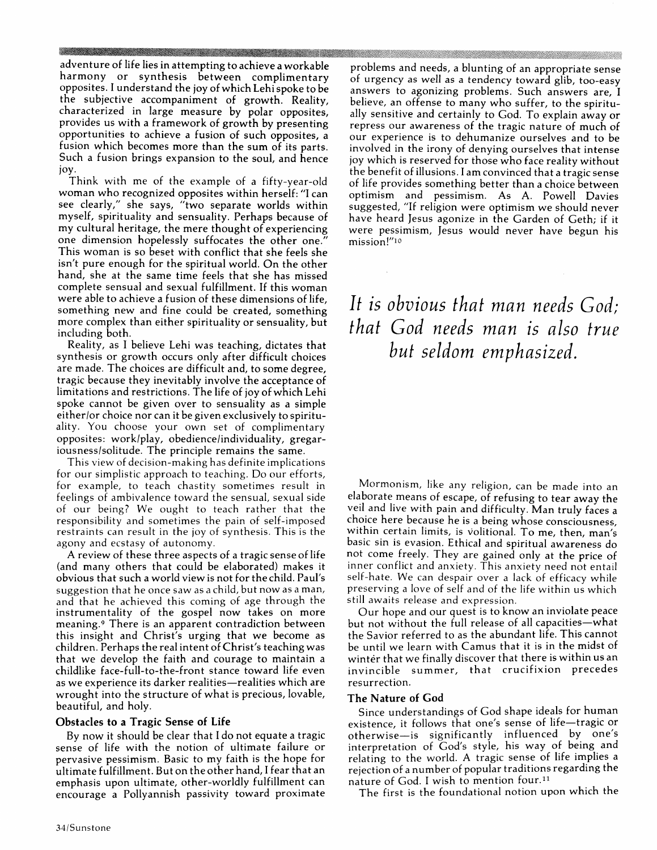harmony or synthesis between complimentary opposites. I understand the joy of which Lehi spoke to be the subjective accompaniment of growth. Reality, characterized in large measure by polar opposites, provides us with a framework of growth by presenting opportunities to achieve a fusion of such opposites, a fusion which becomes more than the sum of its parts. Such a fusion brings expansion to the soul, and hence joy.

Think with me of the example of a fifty-year-old woman who recognized opposites within herself: "I can see clearly," she says, "two separate worlds within myself, spirituality and sensuality. Perhaps because of my cultural heritage, the mere thought of experiencing one dimension hopelessly suffocates the other one." This woman is so beset with conflict that she feels she isn't pure enough for the spiritual world. On the other hand, she at the same time feels that she has missed complete sensual and sexual fulfillment. If this woman were able to achieve a fusion of these dimensions of life, something new and fine could be created, something more complex than either spirituality or sensuality, but including both.

Reality, as I believe Lehi was teaching, dictates that synthesis or growth occurs only after difficult choices are made. The choices are difficult and, to some degree, tragic because they inevitably involve the acceptance of limitations and restrictions. The life of joy of which Lehi spoke cannot be given over to sensuality as a simple either/or choice nor can it be given exclusively to spirituality. You choose your own set of complimentary opposites: work/play, obedience/individuality, gregariousness/solitude. The principle remains the same.

This view of decision-making has definite implications for our simplistic approach to teaching. Do our efforts, for example, to teach chastity sometimes result in feelings of ambivalence toward the sensual, sexual side of our being? We ought to teach rather that the responsibility and sometimes the pain of self-imposed restraints can result in the joy of synthesis. This is the agony and ecstasy of autonomy.

A review of these three aspects of a tragic sense of life (and many others that could be elaborated) makes it obvious that such a world view is not for the child. Paul's suggestion that he once saw as a child, but now as a man, and that he achieved this coming of age through the instrumentality of the gospel now takes on more meaning.9 There is an apparent contradiction between this insight and Christ's urging that we become as children. Perhaps the real intent of Christ's teaching was that we develop the faith and courage to maintain a childlike face-full-to-the-front stance toward life even as we experience its darker realities—realities which are wrought into the structure of what is precious, lovable, beautiful, and holy.

#### Obstacles to a Tragic Sense of Life

By now it should be clear that I do not equate a tragic sense of life with the notion of ultimate failure or pervasive pessimism. Basic to my faith is the hope for ultimate fulfillment. But on the other hand, I fear that an emphasis upon ultimate, other-worldly fulfillment can encourage a Pollyannish passivity toward proximate

adventure of life lies in attempting to achieve a workable problems and needs, a blunting of an appropriate sense of urgency as well as a tendency toward glib, too-easy answers to agonizing problems. Such answers are, I believe, an offense to many who suffer, to the spiritually sensitive and certainly to God. To explain away or repress our awareness of the tragic nature of much of our experience is to dehumanize ourselves and to be involved in the irony of denying ourselves that intense joy which is reserved for those who face reality without the benefit of illusions. I am convinced that a tragic sense of life provides something better than a choice between optimism and pessimism. As A. Powell Davies suggested, "If religion were optimism we should never have heard Jesus agonize in the Garden of Geth; if it were pessimism, Jesus would never have begun his mission!"10

## *It is obvious that man needs God; that God needs man is also true but seldom emphasized.*

Mormonism, like any religion, can be made into an elaborate means of escape, of refusing to tear away the veil and live with pain and difficulty. Man truly faces a choice here because he is a being whose consciousness, within certain limits, is volitional. To me, then, man's basic sin is evasion. Ethical and spiritual awareness do not come freely. They are gained only at the price of inner conflict and anxiety. This anxiety need not entail self-hate. We can despair over a lack of efficacy while preserving a love of self and of the life within us which still awaits release and expression.

Our hope and our quest is to know an inviolate peace but not without the full release of all capacities—what the Savior referred to as the abundant life. This cannot be until we learn with Camus that it is in the midst of winter that we finally discover that there is within us an invincible summer, that crucifixion precedes resurrection.

#### The **Nature of God**

Since understandings of God shape ideals for human existence, it follows that one's sense of life-tragic or otherwise-is significantly influenced by one's interpretation of God's style, his way of being and relating to the world. A tragic sense of life implies a rejection of a number of popular traditions regarding the nature of God. I wish to mention four.<sup>11</sup>

The first is the foundational notion upon which the